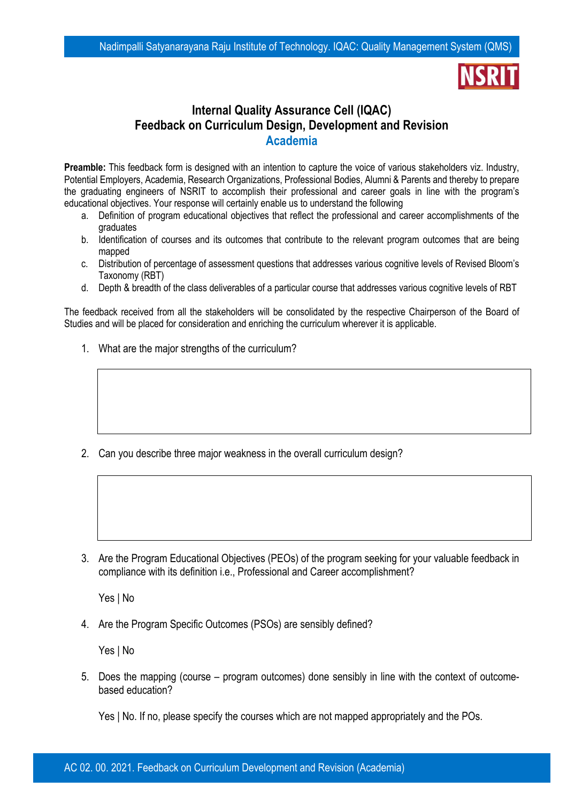## **Internal Quality Assurance Cell (IQAC) Feedback on Curriculum Design, Development and Revision Academia**

**Preamble:** This feedback form is designed with an intention to capture the voice of various stakeholders viz. Industry, Potential Employers, Academia, Research Organizations, Professional Bodies, Alumni & Parents and thereby to prepare the graduating engineers of NSRIT to accomplish their professional and career goals in line with the program's educational objectives. Your response will certainly enable us to understand the following

- a. Definition of program educational objectives that reflect the professional and career accomplishments of the graduates
- b. Identification of courses and its outcomes that contribute to the relevant program outcomes that are being mapped
- c. Distribution of percentage of assessment questions that addresses various cognitive levels of Revised Bloom's Taxonomy (RBT)
- d. Depth & breadth of the class deliverables of a particular course that addresses various cognitive levels of RBT

The feedback received from all the stakeholders will be consolidated by the respective Chairperson of the Board of Studies and will be placed for consideration and enriching the curriculum wherever it is applicable.

1. What are the major strengths of the curriculum?

2. Can you describe three major weakness in the overall curriculum design?

3. Are the Program Educational Objectives (PEOs) of the program seeking for your valuable feedback in compliance with its definition i.e., Professional and Career accomplishment?

Yes | No

4. Are the Program Specific Outcomes (PSOs) are sensibly defined?

Yes | No

5. Does the mapping (course – program outcomes) done sensibly in line with the context of outcomebased education?

Yes | No. If no, please specify the courses which are not mapped appropriately and the POs.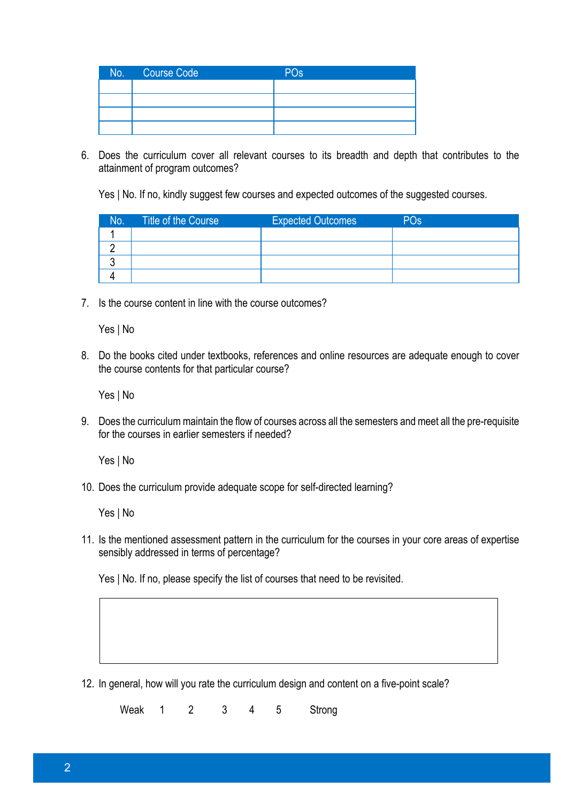| No. | Course Code | PO <sub>s</sub> |
|-----|-------------|-----------------|
|     |             |                 |
|     |             |                 |
|     |             |                 |
|     |             |                 |

6. Does the curriculum cover all relevant courses to its breadth and depth that contributes to the attainment of program outcomes?

Yes | No. If no, kindly suggest few courses and expected outcomes of the suggested courses.

| No. | Title of the Course | <b>Expected Outcomes</b> | PO <sub>s</sub> |
|-----|---------------------|--------------------------|-----------------|
|     |                     |                          |                 |
|     |                     |                          |                 |
|     |                     |                          |                 |
|     |                     |                          |                 |

7. Is the course content in line with the course outcomes?

Yes | No

8. Do the books cited under textbooks, references and online resources are adequate enough to cover the course contents for that particular course?

Yes | No

9. Does the curriculum maintain the flow of courses across all the semesters and meet all the pre-requisite for the courses in earlier semesters if needed?

Yes | No

10. Does the curriculum provide adequate scope for self-directed learning?

Yes | No

11. Is the mentioned assessment pattern in the curriculum for the courses in your core areas of expertise sensibly addressed in terms of percentage?

Yes | No. If no, please specify the list of courses that need to be revisited.

12. In general, how will you rate the curriculum design and content on a five-point scale?

Weak 1 2 3 4 5 Strong